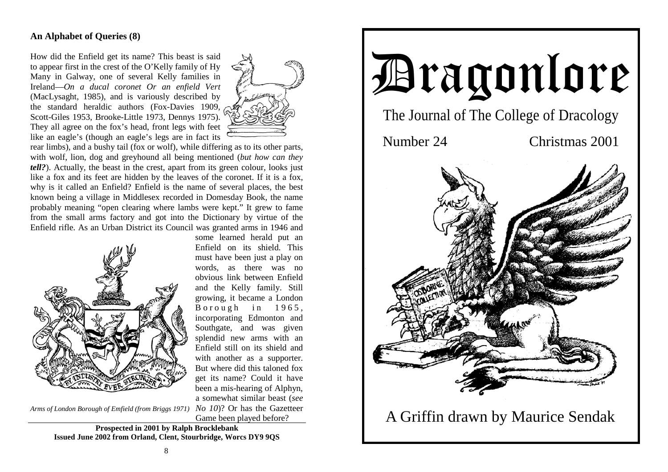# **An Alphabet of Queries (8)**

How did the Enfield get its name? This beast is said to appear first in the crest of the O'Kelly family of Hy Many in Galway, one of several Kelly families in Ireland—*On a ducal coronet Or an enfield Vert* (MacLysaght, 1985), and is variously described by the standard heraldic authors (Fox-Davies 1909, Scott-Giles 1953, Brooke-Little 1973, Dennys 1975). They all agree on the fox's head, front legs with feet like an eagle's (though an eagle's legs are in fact its



rear limbs), and a bushy tail (fox or wolf), while differing as to its other parts, with wolf, lion, dog and greyhound all being mentioned (*but how can they tell?*). Actually, the beast in the crest, apart from its green colour, looks just like a fox and its feet are hidden by the leaves of the coronet. If it is a fox, why is it called an Enfield? Enfield is the name of several places, the best known being a village in Middlesex recorded in Domesday Book, the name probably meaning "open clearing where lambs were kept." It grew to fame from the small arms factory and got into the Dictionary by virtue of the Enfield rifle. As an Urban District its Council was granted arms in 1946 and



some learned herald put an Enfield on its shield. This must have been just a play on words, as there was no obvious link between Enfield and the Kelly family. Still growing, it became a London Borough in  $1965$ , incorporating Edmonton and Southgate, and was given splendid new arms with an Enfield still on its shield and with another as a supporter. But where did this taloned fox get its name? Could it have been a mis-hearing of Alphyn, a somewhat similar beast (*see*  Game been played before?

Arms of London Borough of Emfield (from Briggs 1971) No 10)? Or has the Gazetteer

**Prospected in 2001 by Ralph Brocklebank Issued June 2002 from Orland, Clent, Stourbridge, Worcs DY9 9QS** 

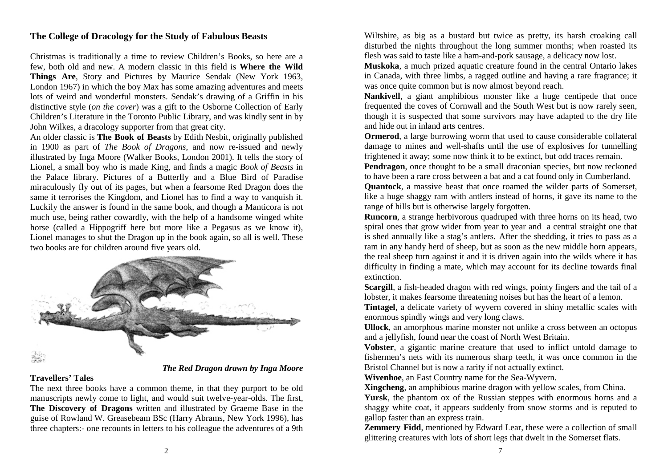## **The College of Dracology for the Study of Fabulous Beasts**

Christmas is traditionally a time to review Children's Books, so here are a few, both old and new. A modern classic in this field is **Where the Wild Things Are**, Story and Pictures by Maurice Sendak (New York 1963, London 1967) in which the boy Max has some amazing adventures and meets lots of weird and wonderful monsters. Sendak's drawing of a Griffin in his distinctive style (*on the cover*) was a gift to the Osborne Collection of Early Children's Literature in the Toronto Public Library, and was kindly sent in by John Wilkes, a dracology supporter from that great city.

An older classic is **The Book of Beasts** by Edith Nesbit, originally published in 1900 as part of *The Book of Dragons*, and now re-issued and newly illustrated by Inga Moore (Walker Books, London 2001). It tells the story of Lionel, a small boy who is made King, and finds a magic *Book of Beasts* in the Palace library. Pictures of a Butterfly and a Blue Bird of Paradise miraculously fly out of its pages, but when a fearsome Red Dragon does the same it terrorises the Kingdom, and Lionel has to find a way to vanquish it. Luckily the answer is found in the same book, and though a Manticora is not much use, being rather cowardly, with the help of a handsome winged white horse (called a Hippogriff here but more like a Pegasus as we know it), Lionel manages to shut the Dragon up in the book again, so all is well. These two books are for children around five years old.



#### **Travellers' Tales**

The next three books have a common theme, in that they purport to be old manuscripts newly come to light, and would suit twelve-year-olds. The first, **The Discovery of Dragons** written and illustrated by Graeme Base in the guise of Rowland W. Greasebeam BSc (Harry Abrams, New York 1996), has three chapters:- one recounts in letters to his colleague the adventures of a 9th

Wiltshire, as big as a bustard but twice as pretty, its harsh croaking call disturbed the nights throughout the long summer months; when roasted its flesh was said to taste like a ham-and-pork sausage, a delicacy now lost.

**Muskoka**, a much prized aquatic creature found in the central Ontario lakes in Canada, with three limbs, a ragged outline and having a rare fragrance; it was once quite common but is now almost beyond reach.

**Nankivell**, a giant amphibious monster like a huge centipede that once frequented the coves of Cornwall and the South West but is now rarely seen, though it is suspected that some survivors may have adapted to the dry life and hide out in inland arts centres.

**Ormerod**, a large burrowing worm that used to cause considerable collateral damage to mines and well-shafts until the use of explosives for tunnelling frightened it away; some now think it to be extinct, but odd traces remain.

**Pendragon**, once thought to be a small draconian species, but now reckoned to have been a rare cross between a bat and a cat found only in Cumberland.

**Quantock**, a massive beast that once roamed the wilder parts of Somerset, like a huge shaggy ram with antlers instead of horns, it gave its name to the range of hills but is otherwise largely forgotten.

**Runcorn**, a strange herbivorous quadruped with three horns on its head, two spiral ones that grow wider from year to year and a central straight one that is shed annually like a stag's antlers. After the shedding, it tries to pass as a ram in any handy herd of sheep, but as soon as the new middle horn appears, the real sheep turn against it and it is driven again into the wilds where it has difficulty in finding a mate, which may account for its decline towards final extinction.

**Scargill**, a fish-headed dragon with red wings, pointy fingers and the tail of a lobster, it makes fearsome threatening noises but has the heart of a lemon.

**Tintagel**, a delicate variety of wyvern covered in shiny metallic scales with enormous spindly wings and very long claws.

**Ullock**, an amorphous marine monster not unlike a cross between an octopus and a jellyfish, found near the coast of North West Britain.

**Vobster**, a gigantic marine creature that used to inflict untold damage to fishermen's nets with its numerous sharp teeth, it was once common in the Bristol Channel but is now a rarity if not actually extinct.

**Wivenhoe**, an East Country name for the Sea-Wyvern.

**Xingcheng**, an amphibious marine dragon with yellow scales, from China. **Yursk**, the phantom ox of the Russian steppes with enormous horns and a shaggy white coat, it appears suddenly from snow storms and is reputed to gallop faster than an express train.

**Zemmery Fidd**, mentioned by Edward Lear, these were a collection of small glittering creatures with lots of short legs that dwelt in the Somerset flats.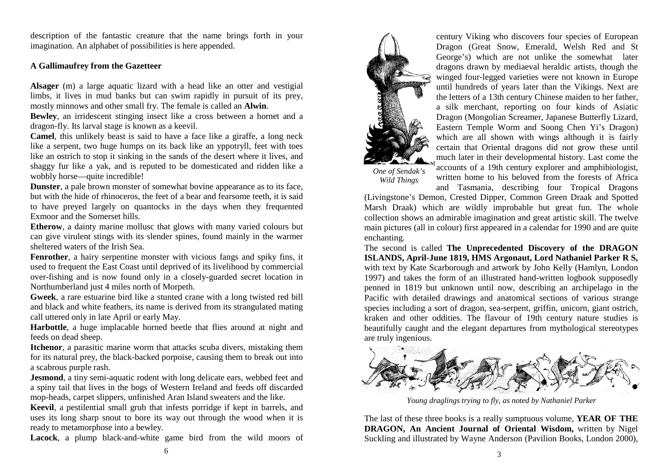description of the fantastic creature that the name brings forth in your imagination. An alphabet of possibilities is here appended.

### **A Gallimaufrey from the Gazetteer**

**Alsager** (m) a large aquatic lizard with a head like an otter and vestigial limbs, it lives in mud banks but can swim rapidly in pursuit of its prey, mostly minnows and other small fry. The female is called an **Alwin**.

**Bewley**, an irridescent stinging insect like a cross between a hornet and a dragon-fly. Its larval stage is known as a keevil.

**Camel**, this unlikely beast is said to have a face like a giraffe, a long neck like a serpent, two huge humps on its back like an yppotryll, feet with toes like an ostrich to stop it sinking in the sands of the desert where it lives, and shaggy fur like a yak, and is reputed to be domesticated and ridden like a wobbly horse—quite incredible!

**Dunster**, a pale brown monster of somewhat bovine appearance as to its face, but with the hide of rhinoceros, the feet of a bear and fearsome teeth, it is said to have preyed largely on quantocks in the days when they frequented Exmoor and the Somerset hills.

**Etherow**, a dainty marine mollusc that glows with many varied colours but can give virulent stings with its slender spines, found mainly in the warmer sheltered waters of the Irish Sea.

**Fenrother**, a hairy serpentine monster with vicious fangs and spiky fins, it used to frequent the East Coast until deprived of its livelihood by commercial over-fishing and is now found only in a closely-guarded secret location in Northumberland just 4 miles north of Morpeth.

**Gweek**, a rare estuarine bird like a stunted crane with a long twisted red bill and black and white feathers, its name is derived from its strangulated mating call uttered only in late April or early May.

**Harbottle**, a huge implacable horned beetle that flies around at night and feeds on dead sheep.

**Itchenor**, a parasitic marine worm that attacks scuba divers, mistaking them for its natural prey, the black-backed porpoise, causing them to break out into a scabrous purple rash.

**Jesmond**, a tiny semi-aquatic rodent with long delicate ears, webbed feet and a spiny tail that lives in the bogs of Western Ireland and feeds off discarded mop-heads, carpet slippers, unfinished Aran Island sweaters and the like.

**Keevil**, a pestilential small grub that infests porridge if kept in barrels, and uses its long sharp snout to bore its way out through the wood when it is ready to metamorphose into a bewley.

**Lacock**, a plump black-and-white game bird from the wild moors of



century Viking who discovers four species of European Dragon (Great Snow, Emerald, Welsh Red and St George's) which are not unlike the somewhat later dragons drawn by mediaeval heraldic artists, though the winged four-legged varieties were not known in Europe until hundreds of years later than the Vikings. Next are the letters of a 13th century Chinese maiden to her father, a silk merchant, reporting on four kinds of Asiatic Dragon (Mongolian Screamer, Japanese Butterfly Lizard, Eastern Temple Worm and Soong Chen Yi's Dragon) which are all shown with wings although it is fairly certain that Oriental dragons did not grow these until much later in their developmental history. Last come the accounts of a 19th century explorer and amphibiologist,

written home to his beloved from the forests of Africa

*One of Sendak's Wild Things* 

and Tasmania, describing four Tropical Dragons (Livingstone's Demon, Crested Dipper, Common Green Draak and Spotted Marsh Draak) which are wildly improbable but great fun. The whole collection shows an admirable imagination and great artistic skill. The twelve main pictures (all in colour) first appeared in a calendar for 1990 and are quite enchanting.

The second is called **The Unprecedented Discovery of the DRAGON ISLANDS, April-June 1819, HMS Argonaut, Lord Nathaniel Parker R S,**  with text by Kate Scarborough and artwork by John Kelly (Hamlyn, London 1997) and takes the form of an illustrated hand-written logbook supposedly penned in 1819 but unknown until now, describing an archipelago in the Pacific with detailed drawings and anatomical sections of various strange species including a sort of dragon, sea-serpent, griffin, unicorn, giant ostrich, kraken and other oddities. The flavour of 19th century nature studies is beautifully caught and the elegant departures from mythological stereotypes are truly ingenious.



*Young draglings trying to fly, as noted by Nathaniel Parker* 

The last of these three books is a really sumptuous volume, **YEAR OF THE DRAGON, An Ancient Journal of Oriental Wisdom,** written by Nigel Suckling and illustrated by Wayne Anderson (Pavilion Books, London 2000),